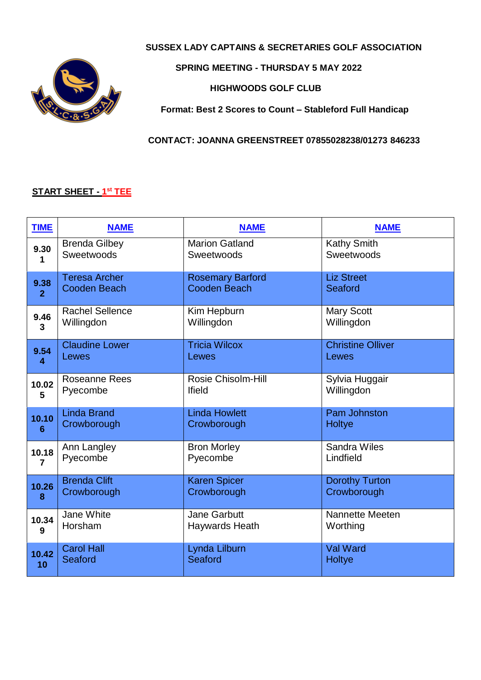

#### **SUSSEX LADY CAPTAINS & SECRETARIES GOLF ASSOCIATION**

#### **SPRING MEETING - THURSDAY 5 MAY 2022**

 **HIGHWOODS GOLF CLUB**

**Format: Best 2 Scores to Count – Stableford Full Handicap**

#### **CONTACT: JOANNA GREENSTREET 07855028238/01273 846233**

#### **START SHEET - 1 st TEE**

| <b>TIME</b>    | <b>NAME</b>            | <b>NAME</b>             | <b>NAME</b>              |
|----------------|------------------------|-------------------------|--------------------------|
| 9.30           | <b>Brenda Gilbey</b>   | <b>Marion Gatland</b>   | <b>Kathy Smith</b>       |
| 1              | Sweetwoods             | Sweetwoods              | Sweetwoods               |
| 9.38           | <b>Teresa Archer</b>   | <b>Rosemary Barford</b> | <b>Liz Street</b>        |
| $\overline{2}$ | <b>Cooden Beach</b>    | <b>Cooden Beach</b>     | Seaford                  |
| 9.46           | <b>Rachel Sellence</b> | Kim Hepburn             | <b>Mary Scott</b>        |
| 3              | Willingdon             | Willingdon              | Willingdon               |
| 9.54           | <b>Claudine Lower</b>  | <b>Tricia Wilcox</b>    | <b>Christine Olliver</b> |
| 4              | Lewes                  | Lewes                   | Lewes                    |
| 10.02          | <b>Roseanne Rees</b>   | Rosie Chisolm-Hill      | Sylvia Huggair           |
| 5              | Pyecombe               | <b>Ifield</b>           | Willingdon               |
| 10.10          | <b>Linda Brand</b>     | <b>Linda Howlett</b>    | <b>Pam Johnston</b>      |
| 6              | Crowborough            | Crowborough             | Holtye                   |
| 10.18          | Ann Langley            | <b>Bron Morley</b>      | Sandra Wiles             |
| 7              | Pyecombe               | Pyecombe                | Lindfield                |
| 10.26          | <b>Brenda Clift</b>    | <b>Karen Spicer</b>     | <b>Dorothy Turton</b>    |
| 8              | Crowborough            | Crowborough             | Crowborough              |
| 10.34          | Jane White             | <b>Jane Garbutt</b>     | Nannette Meeten          |
| 9              | Horsham                | Haywards Heath          | Worthing                 |
| 10.42          | <b>Carol Hall</b>      | Lynda Lilburn           | <b>Val Ward</b>          |
| 10             | Seaford                | <b>Seaford</b>          | Holtye                   |